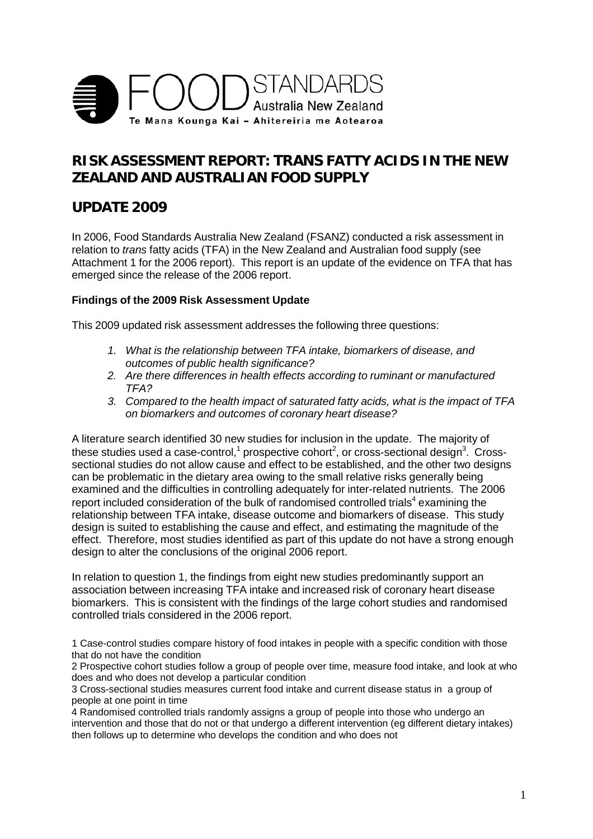

## **RISK ASSESSMENT REPORT: TRANS FATTY ACIDS IN THE NEW ZEALAND AND AUSTRALIAN FOOD SUPPLY**

## **UPDATE 2009**

In 2006, Food Standards Australia New Zealand (FSANZ) conducted a risk assessment in relation to *trans* fatty acids (TFA) in the New Zealand and Australian food supply (see Attachment 1 for the 2006 report). This report is an update of the evidence on TFA that has emerged since the release of the 2006 report.

## **Findings of the 2009 Risk Assessment Update**

This 2009 updated risk assessment addresses the following three questions:

- *1. What is the relationship between TFA intake, biomarkers of disease, and outcomes of public health significance?*
- *2. Are there differences in health effects according to ruminant or manufactured TFA?*
- *3. Compared to the health impact of saturated fatty acids, what is the impact of TFA on biomarkers and outcomes of coronary heart disease?*

A literature search identified 30 new studies for inclusion in the update. The majority of these studies used a case-control, $^{\text{1}}$  prospective cohort $^{\text{2}}$ , or cross-sectional design $^{\text{3}}$ . Crosssectional studies do not allow cause and effect to be established, and the other two designs can be problematic in the dietary area owing to the small relative risks generally being examined and the difficulties in controlling adequately for inter-related nutrients. The 2006 report included consideration of the bulk of randomised controlled trials<sup>4</sup> examining the relationship between TFA intake, disease outcome and biomarkers of disease. This study design is suited to establishing the cause and effect, and estimating the magnitude of the effect. Therefore, most studies identified as part of this update do not have a strong enough design to alter the conclusions of the original 2006 report.

In relation to question 1, the findings from eight new studies predominantly support an association between increasing TFA intake and increased risk of coronary heart disease biomarkers. This is consistent with the findings of the large cohort studies and randomised controlled trials considered in the 2006 report.

1 Case-control studies compare history of food intakes in people with a specific condition with those that do not have the condition

2 Prospective cohort studies follow a group of people over time, measure food intake, and look at who does and who does not develop a particular condition

3 Cross-sectional studies measures current food intake and current disease status in a group of people at one point in time

4 Randomised controlled trials randomly assigns a group of people into those who undergo an intervention and those that do not or that undergo a different intervention (eg different dietary intakes) then follows up to determine who develops the condition and who does not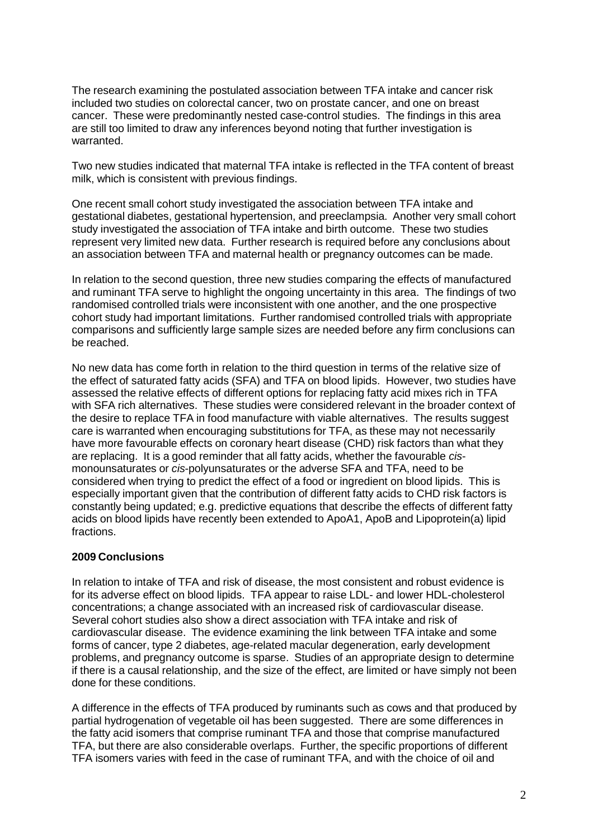The research examining the postulated association between TFA intake and cancer risk included two studies on colorectal cancer, two on prostate cancer, and one on breast cancer. These were predominantly nested case-control studies. The findings in this area are still too limited to draw any inferences beyond noting that further investigation is warranted.

Two new studies indicated that maternal TFA intake is reflected in the TFA content of breast milk, which is consistent with previous findings.

One recent small cohort study investigated the association between TFA intake and gestational diabetes, gestational hypertension, and preeclampsia. Another very small cohort study investigated the association of TFA intake and birth outcome. These two studies represent very limited new data. Further research is required before any conclusions about an association between TFA and maternal health or pregnancy outcomes can be made.

In relation to the second question, three new studies comparing the effects of manufactured and ruminant TFA serve to highlight the ongoing uncertainty in this area. The findings of two randomised controlled trials were inconsistent with one another, and the one prospective cohort study had important limitations. Further randomised controlled trials with appropriate comparisons and sufficiently large sample sizes are needed before any firm conclusions can be reached.

No new data has come forth in relation to the third question in terms of the relative size of the effect of saturated fatty acids (SFA) and TFA on blood lipids. However, two studies have assessed the relative effects of different options for replacing fatty acid mixes rich in TFA with SFA rich alternatives. These studies were considered relevant in the broader context of the desire to replace TFA in food manufacture with viable alternatives. The results suggest care is warranted when encouraging substitutions for TFA, as these may not necessarily have more favourable effects on coronary heart disease (CHD) risk factors than what they are replacing. It is a good reminder that all fatty acids, whether the favourable *cis*monounsaturates or *cis*-polyunsaturates or the adverse SFA and TFA, need to be considered when trying to predict the effect of a food or ingredient on blood lipids. This is especially important given that the contribution of different fatty acids to CHD risk factors is constantly being updated; e.g. predictive equations that describe the effects of different fatty acids on blood lipids have recently been extended to ApoA1, ApoB and Lipoprotein(a) lipid fractions.

## **2009 Conclusions**

In relation to intake of TFA and risk of disease, the most consistent and robust evidence is for its adverse effect on blood lipids. TFA appear to raise LDL- and lower HDL-cholesterol concentrations; a change associated with an increased risk of cardiovascular disease. Several cohort studies also show a direct association with TFA intake and risk of cardiovascular disease. The evidence examining the link between TFA intake and some forms of cancer, type 2 diabetes, age-related macular degeneration, early development problems, and pregnancy outcome is sparse. Studies of an appropriate design to determine if there is a causal relationship, and the size of the effect, are limited or have simply not been done for these conditions.

A difference in the effects of TFA produced by ruminants such as cows and that produced by partial hydrogenation of vegetable oil has been suggested. There are some differences in the fatty acid isomers that comprise ruminant TFA and those that comprise manufactured TFA, but there are also considerable overlaps. Further, the specific proportions of different TFA isomers varies with feed in the case of ruminant TFA, and with the choice of oil and